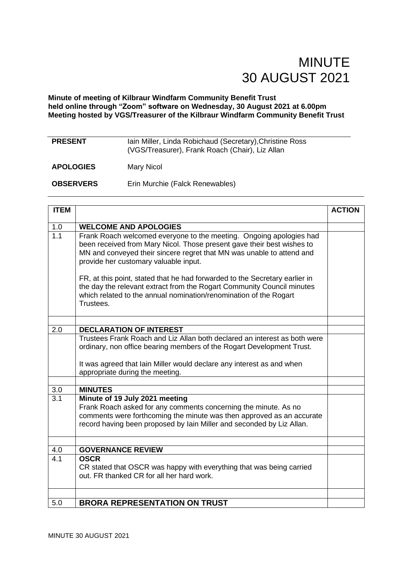#### **Minute of meeting of Kilbraur Windfarm Community Benefit Trust held online through "Zoom" software on Wednesday, 30 August 2021 at 6.00pm Meeting hosted by VGS/Treasurer of the Kilbraur Windfarm Community Benefit Trust**

| <b>PRESENT</b>   | Iain Miller, Linda Robichaud (Secretary), Christine Ross<br>(VGS/Treasurer), Frank Roach (Chair), Liz Allan |
|------------------|-------------------------------------------------------------------------------------------------------------|
| <b>APOLOGIES</b> | Mary Nicol                                                                                                  |
| <b>OBSERVERS</b> | Erin Murchie (Falck Renewables)                                                                             |

| <b>ITEM</b>      |                                                                                                                                                                                                                                                                 | <b>ACTION</b> |
|------------------|-----------------------------------------------------------------------------------------------------------------------------------------------------------------------------------------------------------------------------------------------------------------|---------------|
| 1.0              | <b>WELCOME AND APOLOGIES</b>                                                                                                                                                                                                                                    |               |
| 1.1              | Frank Roach welcomed everyone to the meeting. Ongoing apologies had<br>been received from Mary Nicol. Those present gave their best wishes to<br>MN and conveyed their sincere regret that MN was unable to attend and<br>provide her customary valuable input. |               |
|                  | FR, at this point, stated that he had forwarded to the Secretary earlier in<br>the day the relevant extract from the Rogart Community Council minutes<br>which related to the annual nomination/renomination of the Rogart<br>Trustees.                         |               |
|                  |                                                                                                                                                                                                                                                                 |               |
| 2.0              | <b>DECLARATION OF INTEREST</b>                                                                                                                                                                                                                                  |               |
|                  | Trustees Frank Roach and Liz Allan both declared an interest as both were<br>ordinary, non office bearing members of the Rogart Development Trust.                                                                                                              |               |
|                  | It was agreed that Iain Miller would declare any interest as and when<br>appropriate during the meeting.                                                                                                                                                        |               |
|                  |                                                                                                                                                                                                                                                                 |               |
| 3.0              | <b>MINUTES</b>                                                                                                                                                                                                                                                  |               |
| $\overline{3.1}$ | Minute of 19 July 2021 meeting<br>Frank Roach asked for any comments concerning the minute. As no<br>comments were forthcoming the minute was then approved as an accurate<br>record having been proposed by lain Miller and seconded by Liz Allan.             |               |
|                  |                                                                                                                                                                                                                                                                 |               |
| 4.0              | <b>GOVERNANCE REVIEW</b>                                                                                                                                                                                                                                        |               |
| 4.1              | <b>OSCR</b><br>CR stated that OSCR was happy with everything that was being carried<br>out. FR thanked CR for all her hard work.                                                                                                                                |               |
|                  |                                                                                                                                                                                                                                                                 |               |
| 5.0              | <b>BRORA REPRESENTATION ON TRUST</b>                                                                                                                                                                                                                            |               |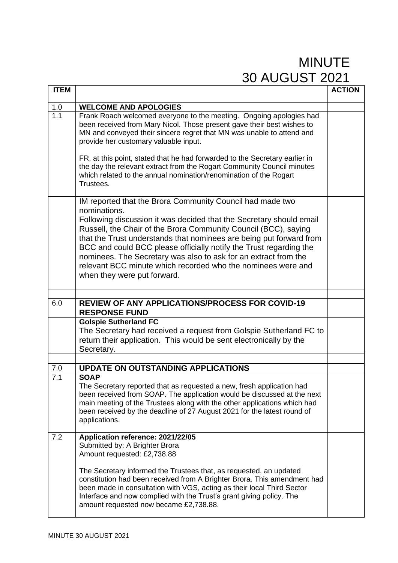| <b>ITEM</b>             |                                                                                                                                                                                                                                                                                                                                                                                                                                                                                                                                    | <b>ACTION</b> |
|-------------------------|------------------------------------------------------------------------------------------------------------------------------------------------------------------------------------------------------------------------------------------------------------------------------------------------------------------------------------------------------------------------------------------------------------------------------------------------------------------------------------------------------------------------------------|---------------|
|                         |                                                                                                                                                                                                                                                                                                                                                                                                                                                                                                                                    |               |
| 1.0<br>$\overline{1.1}$ | <b>WELCOME AND APOLOGIES</b>                                                                                                                                                                                                                                                                                                                                                                                                                                                                                                       |               |
|                         | Frank Roach welcomed everyone to the meeting. Ongoing apologies had<br>been received from Mary Nicol. Those present gave their best wishes to<br>MN and conveyed their sincere regret that MN was unable to attend and<br>provide her customary valuable input.                                                                                                                                                                                                                                                                    |               |
|                         | FR, at this point, stated that he had forwarded to the Secretary earlier in<br>the day the relevant extract from the Rogart Community Council minutes<br>which related to the annual nomination/renomination of the Rogart<br>Trustees.                                                                                                                                                                                                                                                                                            |               |
|                         | IM reported that the Brora Community Council had made two<br>nominations.<br>Following discussion it was decided that the Secretary should email<br>Russell, the Chair of the Brora Community Council (BCC), saying<br>that the Trust understands that nominees are being put forward from<br>BCC and could BCC please officially notify the Trust regarding the<br>nominees. The Secretary was also to ask for an extract from the<br>relevant BCC minute which recorded who the nominees were and<br>when they were put forward. |               |
|                         |                                                                                                                                                                                                                                                                                                                                                                                                                                                                                                                                    |               |
| 6.0                     | <b>REVIEW OF ANY APPLICATIONS/PROCESS FOR COVID-19</b><br><b>RESPONSE FUND</b>                                                                                                                                                                                                                                                                                                                                                                                                                                                     |               |
|                         | <b>Golspie Sutherland FC</b><br>The Secretary had received a request from Golspie Sutherland FC to<br>return their application. This would be sent electronically by the<br>Secretary.                                                                                                                                                                                                                                                                                                                                             |               |
|                         |                                                                                                                                                                                                                                                                                                                                                                                                                                                                                                                                    |               |
| 7.0<br>7.1              | <b>UPDATE ON OUTSTANDING APPLICATIONS</b><br><b>SOAP</b>                                                                                                                                                                                                                                                                                                                                                                                                                                                                           |               |
|                         | The Secretary reported that as requested a new, fresh application had<br>been received from SOAP. The application would be discussed at the next<br>main meeting of the Trustees along with the other applications which had<br>been received by the deadline of 27 August 2021 for the latest round of<br>applications.                                                                                                                                                                                                           |               |
| 7.2                     | Application reference: 2021/22/05<br>Submitted by: A Brighter Brora<br>Amount requested: £2,738.88                                                                                                                                                                                                                                                                                                                                                                                                                                 |               |
|                         | The Secretary informed the Trustees that, as requested, an updated<br>constitution had been received from A Brighter Brora. This amendment had<br>been made in consultation with VGS, acting as their local Third Sector<br>Interface and now complied with the Trust's grant giving policy. The<br>amount requested now became £2,738.88.                                                                                                                                                                                         |               |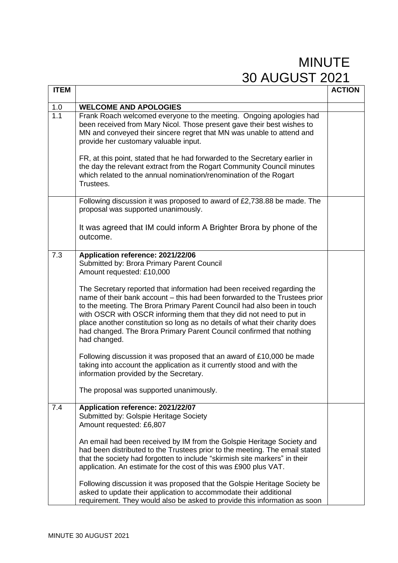| <b>ITEM</b>             |                                                                                                                                                                                                                                                                                                                                                                                                                                                                                                                                                                                                                                                                                                                                                                                                                                        | <b>ACTION</b> |
|-------------------------|----------------------------------------------------------------------------------------------------------------------------------------------------------------------------------------------------------------------------------------------------------------------------------------------------------------------------------------------------------------------------------------------------------------------------------------------------------------------------------------------------------------------------------------------------------------------------------------------------------------------------------------------------------------------------------------------------------------------------------------------------------------------------------------------------------------------------------------|---------------|
|                         |                                                                                                                                                                                                                                                                                                                                                                                                                                                                                                                                                                                                                                                                                                                                                                                                                                        |               |
| 1.0<br>$\overline{1.1}$ | <b>WELCOME AND APOLOGIES</b><br>Frank Roach welcomed everyone to the meeting. Ongoing apologies had<br>been received from Mary Nicol. Those present gave their best wishes to<br>MN and conveyed their sincere regret that MN was unable to attend and<br>provide her customary valuable input.<br>FR, at this point, stated that he had forwarded to the Secretary earlier in<br>the day the relevant extract from the Rogart Community Council minutes<br>which related to the annual nomination/renomination of the Rogart<br>Trustees.                                                                                                                                                                                                                                                                                             |               |
|                         | Following discussion it was proposed to award of £2,738.88 be made. The<br>proposal was supported unanimously.<br>It was agreed that IM could inform A Brighter Brora by phone of the<br>outcome.                                                                                                                                                                                                                                                                                                                                                                                                                                                                                                                                                                                                                                      |               |
| 7.3                     | Application reference: 2021/22/06<br>Submitted by: Brora Primary Parent Council<br>Amount requested: £10,000<br>The Secretary reported that information had been received regarding the<br>name of their bank account – this had been forwarded to the Trustees prior<br>to the meeting. The Brora Primary Parent Council had also been in touch<br>with OSCR with OSCR informing them that they did not need to put in<br>place another constitution so long as no details of what their charity does<br>had changed. The Brora Primary Parent Council confirmed that nothing<br>had changed.<br>Following discussion it was proposed that an award of £10,000 be made<br>taking into account the application as it currently stood and with the<br>information provided by the Secretary.<br>The proposal was supported unanimously. |               |
| 7.4                     | Application reference: 2021/22/07<br>Submitted by: Golspie Heritage Society<br>Amount requested: £6,807<br>An email had been received by IM from the Golspie Heritage Society and<br>had been distributed to the Trustees prior to the meeting. The email stated<br>that the society had forgotten to include "skirmish site markers" in their<br>application. An estimate for the cost of this was £900 plus VAT.<br>Following discussion it was proposed that the Golspie Heritage Society be<br>asked to update their application to accommodate their additional<br>requirement. They would also be asked to provide this information as soon                                                                                                                                                                                      |               |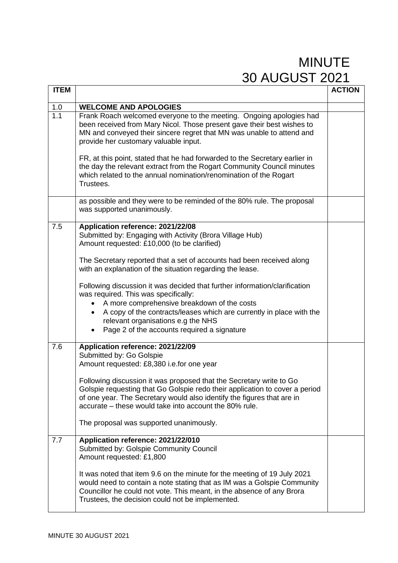| <b>ITEM</b> |                                                                                                                                                                                                                                                                                                                                                                                                                                                                                                                                                                                                                                   | <b>ACTION</b> |
|-------------|-----------------------------------------------------------------------------------------------------------------------------------------------------------------------------------------------------------------------------------------------------------------------------------------------------------------------------------------------------------------------------------------------------------------------------------------------------------------------------------------------------------------------------------------------------------------------------------------------------------------------------------|---------------|
|             | <b>WELCOME AND APOLOGIES</b>                                                                                                                                                                                                                                                                                                                                                                                                                                                                                                                                                                                                      |               |
| 1.0<br>1.1  | Frank Roach welcomed everyone to the meeting. Ongoing apologies had<br>been received from Mary Nicol. Those present gave their best wishes to<br>MN and conveyed their sincere regret that MN was unable to attend and<br>provide her customary valuable input.<br>FR, at this point, stated that he had forwarded to the Secretary earlier in<br>the day the relevant extract from the Rogart Community Council minutes<br>which related to the annual nomination/renomination of the Rogart<br>Trustees.                                                                                                                        |               |
|             | as possible and they were to be reminded of the 80% rule. The proposal<br>was supported unanimously.                                                                                                                                                                                                                                                                                                                                                                                                                                                                                                                              |               |
| 7.5         | Application reference: 2021/22/08<br>Submitted by: Engaging with Activity (Brora Village Hub)<br>Amount requested: £10,000 (to be clarified)<br>The Secretary reported that a set of accounts had been received along<br>with an explanation of the situation regarding the lease.<br>Following discussion it was decided that further information/clarification<br>was required. This was specifically:<br>A more comprehensive breakdown of the costs<br>A copy of the contracts/leases which are currently in place with the<br>$\bullet$<br>relevant organisations e.g the NHS<br>Page 2 of the accounts required a signature |               |
| 7.6         | Application reference: 2021/22/09<br>Submitted by: Go Golspie<br>Amount requested: £8,380 i.e.for one year<br>Following discussion it was proposed that the Secretary write to Go<br>Golspie requesting that Go Golspie redo their application to cover a period<br>of one year. The Secretary would also identify the figures that are in<br>accurate – these would take into account the 80% rule.<br>The proposal was supported unanimously.                                                                                                                                                                                   |               |
| 7.7         | Application reference: 2021/22/010<br>Submitted by: Golspie Community Council<br>Amount requested: £1,800<br>It was noted that item 9.6 on the minute for the meeting of 19 July 2021<br>would need to contain a note stating that as IM was a Golspie Community<br>Councillor he could not vote. This meant, in the absence of any Brora<br>Trustees, the decision could not be implemented.                                                                                                                                                                                                                                     |               |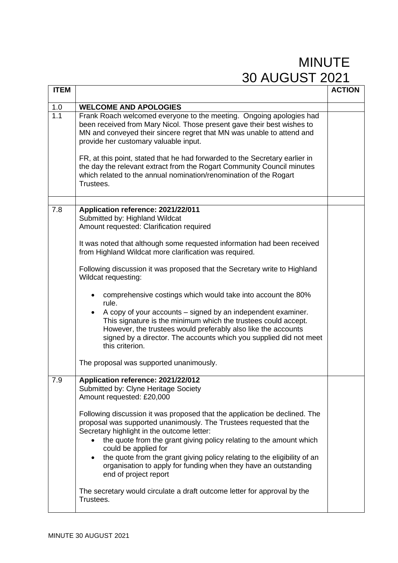| <b>ITEM</b> |                                                                                                                                                                                                                                                                                                                                                                                                                                                                                                                                                                                                                                                                                                                                                                           | <b>ACTION</b> |
|-------------|---------------------------------------------------------------------------------------------------------------------------------------------------------------------------------------------------------------------------------------------------------------------------------------------------------------------------------------------------------------------------------------------------------------------------------------------------------------------------------------------------------------------------------------------------------------------------------------------------------------------------------------------------------------------------------------------------------------------------------------------------------------------------|---------------|
|             |                                                                                                                                                                                                                                                                                                                                                                                                                                                                                                                                                                                                                                                                                                                                                                           |               |
| 1.0         | <b>WELCOME AND APOLOGIES</b>                                                                                                                                                                                                                                                                                                                                                                                                                                                                                                                                                                                                                                                                                                                                              |               |
| 1.1         | Frank Roach welcomed everyone to the meeting. Ongoing apologies had<br>been received from Mary Nicol. Those present gave their best wishes to<br>MN and conveyed their sincere regret that MN was unable to attend and<br>provide her customary valuable input.<br>FR, at this point, stated that he had forwarded to the Secretary earlier in<br>the day the relevant extract from the Rogart Community Council minutes<br>which related to the annual nomination/renomination of the Rogart<br>Trustees.                                                                                                                                                                                                                                                                |               |
|             |                                                                                                                                                                                                                                                                                                                                                                                                                                                                                                                                                                                                                                                                                                                                                                           |               |
| 7.8         | Application reference: 2021/22/011<br>Submitted by: Highland Wildcat<br>Amount requested: Clarification required<br>It was noted that although some requested information had been received<br>from Highland Wildcat more clarification was required.<br>Following discussion it was proposed that the Secretary write to Highland<br>Wildcat requesting:<br>comprehensive costings which would take into account the 80%<br>rule.<br>A copy of your accounts – signed by an independent examiner.<br>This signature is the minimum which the trustees could accept.<br>However, the trustees would preferably also like the accounts<br>signed by a director. The accounts which you supplied did not meet<br>this criterion.<br>The proposal was supported unanimously. |               |
| 7.9         | Application reference: 2021/22/012                                                                                                                                                                                                                                                                                                                                                                                                                                                                                                                                                                                                                                                                                                                                        |               |
|             | Submitted by: Clyne Heritage Society<br>Amount requested: £20,000<br>Following discussion it was proposed that the application be declined. The<br>proposal was supported unanimously. The Trustees requested that the<br>Secretary highlight in the outcome letter:<br>the quote from the grant giving policy relating to the amount which<br>could be applied for<br>the quote from the grant giving policy relating to the eligibility of an<br>$\bullet$<br>organisation to apply for funding when they have an outstanding<br>end of project report<br>The secretary would circulate a draft outcome letter for approval by the<br>Trustees.                                                                                                                         |               |